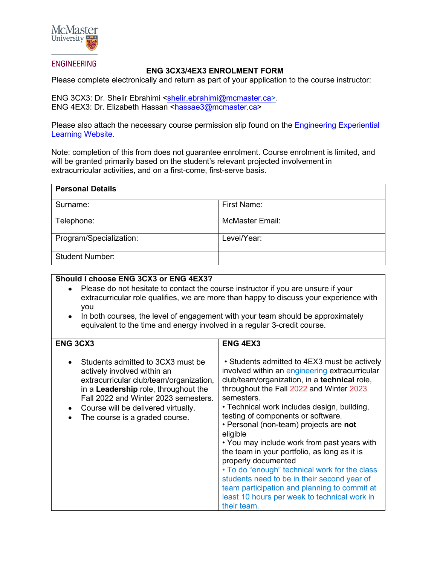

## **ENGINEERING**

## **ENG 3CX3/4EX3 ENROLMENT FORM**

Please complete electronically and return as part of your application to the course instructor:

ENG 3CX3: Dr. Shelir Ebrahimi [<shelir.ebrahimi@mcmaster.ca>](mailto:shelir.ebrahimi@mcmaster.ca). ENG 4EX3: Dr. Elizabeth Hassan [<hassae3@mcmaster.ca>](mailto:hassae3@mcmaster.ca)

Please also attach the necessary course permission slip found on the **Engineering Experiential** [Learning Website.](https://www.eng.mcmaster.ca/co-op-career/experiential-learning#Courses)

Note: completion of this from does not guarantee enrolment. Course enrolment is limited, and will be granted primarily based on the student's relevant projected involvement in extracurricular activities, and on a first-come, first-serve basis.

| <b>Personal Details</b> |                        |  |
|-------------------------|------------------------|--|
| Surname:                | First Name:            |  |
| Telephone:              | <b>McMaster Email:</b> |  |
| Program/Specialization: | Level/Year:            |  |
| <b>Student Number:</b>  |                        |  |

## **Should I choose ENG 3CX3 or ENG 4EX3?**

- Please do not hesitate to contact the course instructor if you are unsure if your extracurricular role qualifies, we are more than happy to discuss your experience with you
- In both courses, the level of engagement with your team should be approximately equivalent to the time and energy involved in a regular 3-credit course.

| <b>ENG 3CX3</b>                                                                                                                                                                                                                                                                          | <b>ENG 4EX3</b>                                                                                                                                                                                                                                                                                                                                                                                                                                                                                                                                                                                                                                                                          |
|------------------------------------------------------------------------------------------------------------------------------------------------------------------------------------------------------------------------------------------------------------------------------------------|------------------------------------------------------------------------------------------------------------------------------------------------------------------------------------------------------------------------------------------------------------------------------------------------------------------------------------------------------------------------------------------------------------------------------------------------------------------------------------------------------------------------------------------------------------------------------------------------------------------------------------------------------------------------------------------|
| Students admitted to 3CX3 must be<br>actively involved within an<br>extracurricular club/team/organization,<br>in a <b>Leadership</b> role, throughout the<br>Fall 2022 and Winter 2023 semesters.<br>Course will be delivered virtually.<br>$\bullet$<br>The course is a graded course. | • Students admitted to 4EX3 must be actively<br>involved within an engineering extracurricular<br>club/team/organization, in a technical role,<br>throughout the Fall 2022 and Winter 2023<br>semesters.<br>• Technical work includes design, building,<br>testing of components or software.<br>• Personal (non-team) projects are not<br>eligible<br>• You may include work from past years with<br>the team in your portfolio, as long as it is<br>properly documented<br>• To do "enough" technical work for the class<br>students need to be in their second year of<br>team participation and planning to commit at<br>least 10 hours per week to technical work in<br>their team. |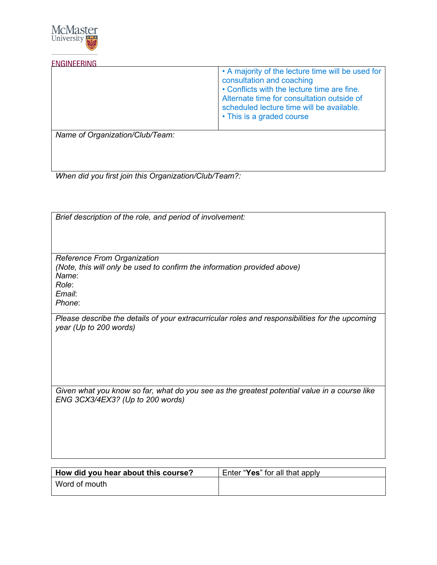

**ENGINEERING** 

|                                 | • A majority of the lecture time will be used for<br>consultation and coaching<br>• Conflicts with the lecture time are fine.<br>Alternate time for consultation outside of<br>scheduled lecture time will be available.<br>• This is a graded course |
|---------------------------------|-------------------------------------------------------------------------------------------------------------------------------------------------------------------------------------------------------------------------------------------------------|
| Name of Organization/Club/Team: |                                                                                                                                                                                                                                                       |

*When did you first join this Organization/Club/Team?:*

| Brief description of the role, and period of involvement:                                                                           |
|-------------------------------------------------------------------------------------------------------------------------------------|
| Reference From Organization<br>(Note, this will only be used to confirm the information provided above)<br>Name:<br>Role:<br>Email: |
| Phone:                                                                                                                              |
| Please describe the details of your extracurricular roles and responsibilities for the upcoming<br>year (Up to 200 words)           |
| Given what you know so far, what do you see as the greatest potential value in a course like<br>ENG 3CX3/4EX3? (Up to 200 words)    |

| How did you hear about this course? | Enter "Yes" for all that apply |
|-------------------------------------|--------------------------------|
| Word of mouth                       |                                |